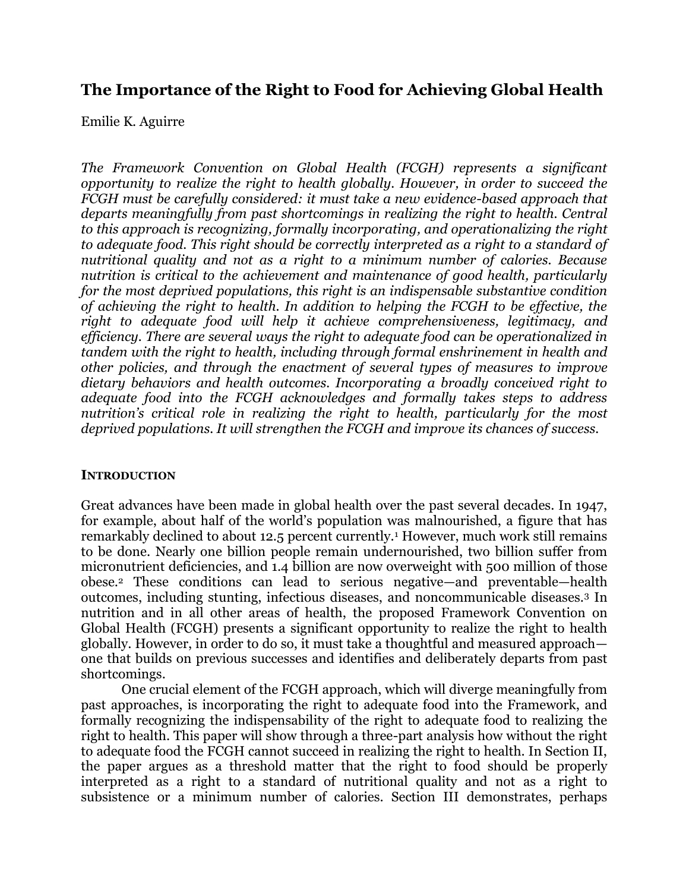# **The Importance of the Right to Food for Achieving Global Health**

Emilie K. Aguirre

*The Framework Convention on Global Health (FCGH) represents a significant opportunity to realize the right to health globally. However, in order to succeed the FCGH must be carefully considered: it must take a new evidence-based approach that departs meaningfully from past shortcomings in realizing the right to health. Central to this approach is recognizing, formally incorporating, and operationalizing the right to adequate food. This right should be correctly interpreted as a right to a standard of nutritional quality and not as a right to a minimum number of calories. Because nutrition is critical to the achievement and maintenance of good health, particularly for the most deprived populations, this right is an indispensable substantive condition of achieving the right to health. In addition to helping the FCGH to be effective, the right to adequate food will help it achieve comprehensiveness, legitimacy, and efficiency. There are several ways the right to adequate food can be operationalized in tandem with the right to health, including through formal enshrinement in health and other policies, and through the enactment of several types of measures to improve dietary behaviors and health outcomes. Incorporating a broadly conceived right to adequate food into the FCGH acknowledges and formally takes steps to address nutrition's critical role in realizing the right to health, particularly for the most deprived populations. It will strengthen the FCGH and improve its chances of success.* 

## **INTRODUCTION**

Great advances have been made in global health over the past several decades. In 1947, for example, about half of the world's population was malnourished, a figure that has remarkably declined to about 12.5 percent currently.<sup>1</sup> However, much work still remains to be done. Nearly one billion people remain undernourished, two billion suffer from micronutrient deficiencies, and 1.4 billion are now overweight with 500 million of those obese.2 These conditions can lead to serious negative—and preventable—health outcomes, including stunting, infectious diseases, and noncommunicable diseases.3 In nutrition and in all other areas of health, the proposed Framework Convention on Global Health (FCGH) presents a significant opportunity to realize the right to health globally. However, in order to do so, it must take a thoughtful and measured approach one that builds on previous successes and identifies and deliberately departs from past shortcomings.

One crucial element of the FCGH approach, which will diverge meaningfully from past approaches, is incorporating the right to adequate food into the Framework, and formally recognizing the indispensability of the right to adequate food to realizing the right to health. This paper will show through a three-part analysis how without the right to adequate food the FCGH cannot succeed in realizing the right to health. In Section II, the paper argues as a threshold matter that the right to food should be properly interpreted as a right to a standard of nutritional quality and not as a right to subsistence or a minimum number of calories. Section III demonstrates, perhaps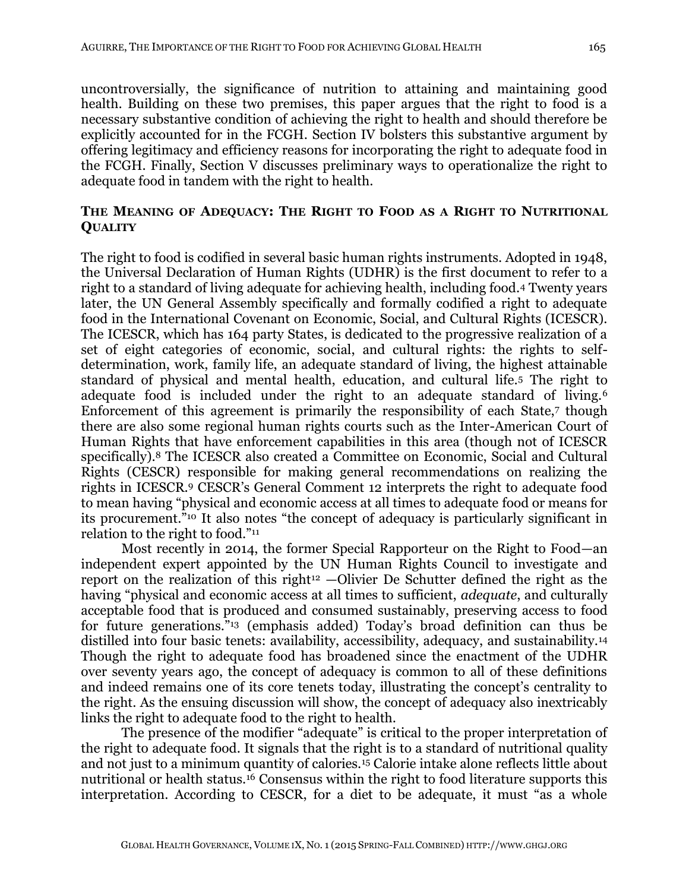uncontroversially, the significance of nutrition to attaining and maintaining good health. Building on these two premises, this paper argues that the right to food is a necessary substantive condition of achieving the right to health and should therefore be explicitly accounted for in the FCGH. Section IV bolsters this substantive argument by offering legitimacy and efficiency reasons for incorporating the right to adequate food in the FCGH. Finally, Section V discusses preliminary ways to operationalize the right to adequate food in tandem with the right to health.

# **THE MEANING OF ADEQUACY: THE RIGHT TO FOOD AS A RIGHT TO NUTRITIONAL QUALITY**

The right to food is codified in several basic human rights instruments. Adopted in 1948, the Universal Declaration of Human Rights (UDHR) is the first document to refer to a right to a standard of living adequate for achieving health, including food.4 Twenty years later, the UN General Assembly specifically and formally codified a right to adequate food in the International Covenant on Economic, Social, and Cultural Rights (ICESCR). The ICESCR, which has 164 party States, is dedicated to the progressive realization of a set of eight categories of economic, social, and cultural rights: the rights to selfdetermination, work, family life, an adequate standard of living, the highest attainable standard of physical and mental health, education, and cultural life.5 The right to adequate food is included under the right to an adequate standard of living.<sup>6</sup> Enforcement of this agreement is primarily the responsibility of each State,7 though there are also some regional human rights courts such as the Inter-American Court of Human Rights that have enforcement capabilities in this area (though not of ICESCR specifically).8 The ICESCR also created a Committee on Economic, Social and Cultural Rights (CESCR) responsible for making general recommendations on realizing the rights in ICESCR.<sup>9</sup> CESCR's General Comment 12 interprets the right to adequate food to mean having "physical and economic access at all times to adequate food or means for its procurement."<sup>10</sup> It also notes "the concept of adequacy is particularly significant in relation to the right to food."<sup>11</sup>

Most recently in 2014, the former Special Rapporteur on the Right to Food—an independent expert appointed by the UN Human Rights Council to investigate and report on the realization of this right<sup>12</sup> —Olivier De Schutter defined the right as the having "physical and economic access at all times to sufficient, *adequate*, and culturally acceptable food that is produced and consumed sustainably, preserving access to food for future generations."<sup>13</sup> (emphasis added) Today's broad definition can thus be distilled into four basic tenets: availability, accessibility, adequacy, and sustainability.<sup>14</sup> Though the right to adequate food has broadened since the enactment of the UDHR over seventy years ago, the concept of adequacy is common to all of these definitions and indeed remains one of its core tenets today, illustrating the concept's centrality to the right. As the ensuing discussion will show, the concept of adequacy also inextricably links the right to adequate food to the right to health.

The presence of the modifier "adequate" is critical to the proper interpretation of the right to adequate food. It signals that the right is to a standard of nutritional quality and not just to a minimum quantity of calories.<sup>15</sup> Calorie intake alone reflects little about nutritional or health status.<sup>16</sup> Consensus within the right to food literature supports this interpretation. According to CESCR, for a diet to be adequate, it must "as a whole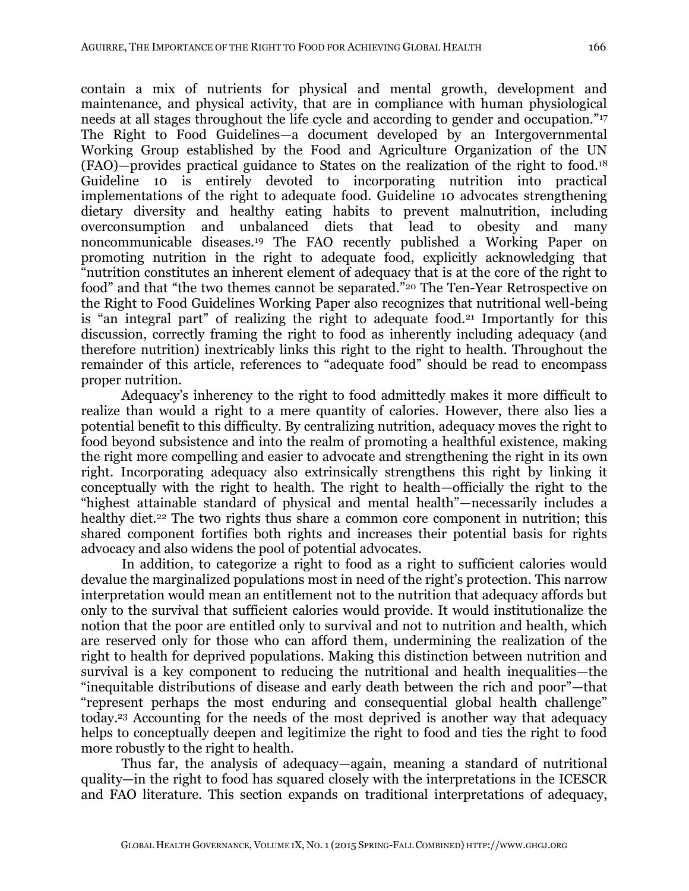contain a mix of nutrients for physical and mental growth, development and maintenance, and physical activity, that are in compliance with human physiological needs at all stages throughout the life cycle and according to gender and occupation."<sup>17</sup> The Right to Food Guidelines—a document developed by an Intergovernmental Working Group established by the Food and Agriculture Organization of the UN (FAO)—provides practical guidance to States on the realization of the right to food.<sup>18</sup> Guideline 10 is entirely devoted to incorporating nutrition into practical implementations of the right to adequate food. Guideline 10 advocates strengthening dietary diversity and healthy eating habits to prevent malnutrition, including overconsumption and unbalanced diets that lead to obesity and many noncommunicable diseases.<sup>19</sup> The FAO recently published a Working Paper on promoting nutrition in the right to adequate food, explicitly acknowledging that "nutrition constitutes an inherent element of adequacy that is at the core of the right to food" and that "the two themes cannot be separated."<sup>20</sup> The Ten-Year Retrospective on the Right to Food Guidelines Working Paper also recognizes that nutritional well-being is "an integral part" of realizing the right to adequate food.<sup>21</sup> Importantly for this discussion, correctly framing the right to food as inherently including adequacy (and therefore nutrition) inextricably links this right to the right to health. Throughout the remainder of this article, references to "adequate food" should be read to encompass proper nutrition.

Adequacy's inherency to the right to food admittedly makes it more difficult to realize than would a right to a mere quantity of calories. However, there also lies a potential benefit to this difficulty. By centralizing nutrition, adequacy moves the right to food beyond subsistence and into the realm of promoting a healthful existence, making the right more compelling and easier to advocate and strengthening the right in its own right. Incorporating adequacy also extrinsically strengthens this right by linking it conceptually with the right to health. The right to health—officially the right to the "highest attainable standard of physical and mental health"—necessarily includes a healthy diet.<sup>22</sup> The two rights thus share a common core component in nutrition; this shared component fortifies both rights and increases their potential basis for rights advocacy and also widens the pool of potential advocates.

In addition, to categorize a right to food as a right to sufficient calories would devalue the marginalized populations most in need of the right's protection. This narrow interpretation would mean an entitlement not to the nutrition that adequacy affords but only to the survival that sufficient calories would provide. It would institutionalize the notion that the poor are entitled only to survival and not to nutrition and health, which are reserved only for those who can afford them, undermining the realization of the right to health for deprived populations. Making this distinction between nutrition and survival is a key component to reducing the nutritional and health inequalities—the "inequitable distributions of disease and early death between the rich and poor"—that "represent perhaps the most enduring and consequential global health challenge" today.<sup>23</sup> Accounting for the needs of the most deprived is another way that adequacy helps to conceptually deepen and legitimize the right to food and ties the right to food more robustly to the right to health.

Thus far, the analysis of adequacy—again, meaning a standard of nutritional quality—in the right to food has squared closely with the interpretations in the ICESCR and FAO literature. This section expands on traditional interpretations of adequacy,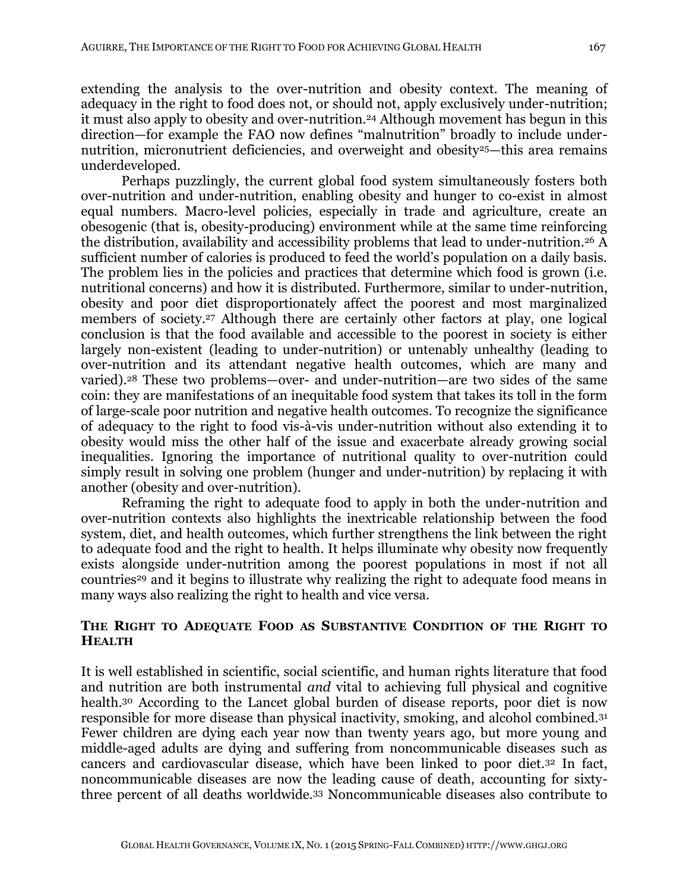extending the analysis to the over-nutrition and obesity context. The meaning of adequacy in the right to food does not, or should not, apply exclusively under-nutrition; it must also apply to obesity and over-nutrition.<sup>24</sup> Although movement has begun in this direction—for example the FAO now defines "malnutrition" broadly to include undernutrition, micronutrient deficiencies, and overweight and obesity<sup>25</sup>—this area remains underdeveloped.

Perhaps puzzlingly, the current global food system simultaneously fosters both over-nutrition and under-nutrition, enabling obesity and hunger to co-exist in almost equal numbers. Macro-level policies, especially in trade and agriculture, create an obesogenic (that is, obesity-producing) environment while at the same time reinforcing the distribution, availability and accessibility problems that lead to under-nutrition.<sup>26</sup> A sufficient number of calories is produced to feed the world's population on a daily basis. The problem lies in the policies and practices that determine which food is grown (i.e. nutritional concerns) and how it is distributed. Furthermore, similar to under-nutrition, obesity and poor diet disproportionately affect the poorest and most marginalized members of society.<sup>27</sup> Although there are certainly other factors at play, one logical conclusion is that the food available and accessible to the poorest in society is either largely non-existent (leading to under-nutrition) or untenably unhealthy (leading to over-nutrition and its attendant negative health outcomes, which are many and varied).<sup>28</sup> These two problems—over- and under-nutrition—are two sides of the same coin: they are manifestations of an inequitable food system that takes its toll in the form of large-scale poor nutrition and negative health outcomes. To recognize the significance of adequacy to the right to food vis-à-vis under-nutrition without also extending it to obesity would miss the other half of the issue and exacerbate already growing social inequalities. Ignoring the importance of nutritional quality to over-nutrition could simply result in solving one problem (hunger and under-nutrition) by replacing it with another (obesity and over-nutrition).

Reframing the right to adequate food to apply in both the under-nutrition and over-nutrition contexts also highlights the inextricable relationship between the food system, diet, and health outcomes, which further strengthens the link between the right to adequate food and the right to health. It helps illuminate why obesity now frequently exists alongside under-nutrition among the poorest populations in most if not all countries<sup>29</sup> and it begins to illustrate why realizing the right to adequate food means in many ways also realizing the right to health and vice versa.

## **THE RIGHT TO ADEQUATE FOOD AS SUBSTANTIVE CONDITION OF THE RIGHT TO HEALTH**

It is well established in scientific, social scientific, and human rights literature that food and nutrition are both instrumental *and* vital to achieving full physical and cognitive health.<sup>30</sup> According to the Lancet global burden of disease reports, poor diet is now responsible for more disease than physical inactivity, smoking, and alcohol combined.<sup>31</sup> Fewer children are dying each year now than twenty years ago, but more young and middle-aged adults are dying and suffering from noncommunicable diseases such as cancers and cardiovascular disease, which have been linked to poor diet.<sup>32</sup> In fact, noncommunicable diseases are now the leading cause of death, accounting for sixtythree percent of all deaths worldwide.<sup>33</sup> Noncommunicable diseases also contribute to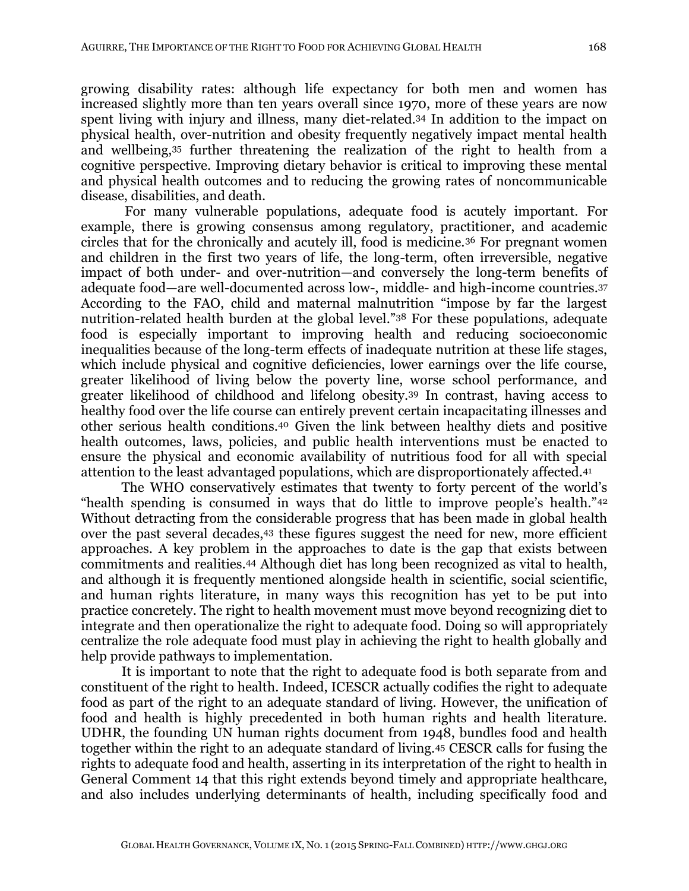growing disability rates: although life expectancy for both men and women has increased slightly more than ten years overall since 1970, more of these years are now spent living with injury and illness, many diet-related.<sup>34</sup> In addition to the impact on physical health, over-nutrition and obesity frequently negatively impact mental health and wellbeing,<sup>35</sup> further threatening the realization of the right to health from a cognitive perspective. Improving dietary behavior is critical to improving these mental and physical health outcomes and to reducing the growing rates of noncommunicable disease, disabilities, and death.

For many vulnerable populations, adequate food is acutely important. For example, there is growing consensus among regulatory, practitioner, and academic circles that for the chronically and acutely ill, food is medicine.<sup>36</sup> For pregnant women and children in the first two years of life, the long-term, often irreversible, negative impact of both under- and over-nutrition—and conversely the long-term benefits of adequate food—are well-documented across low-, middle- and high-income countries. 37 According to the FAO, child and maternal malnutrition "impose by far the largest nutrition-related health burden at the global level."<sup>38</sup> For these populations, adequate food is especially important to improving health and reducing socioeconomic inequalities because of the long-term effects of inadequate nutrition at these life stages, which include physical and cognitive deficiencies, lower earnings over the life course, greater likelihood of living below the poverty line, worse school performance, and greater likelihood of childhood and lifelong obesity.<sup>39</sup> In contrast, having access to healthy food over the life course can entirely prevent certain incapacitating illnesses and other serious health conditions.<sup>40</sup> Given the link between healthy diets and positive health outcomes, laws, policies, and public health interventions must be enacted to ensure the physical and economic availability of nutritious food for all with special attention to the least advantaged populations, which are disproportionately affected.<sup>41</sup>

The WHO conservatively estimates that twenty to forty percent of the world's "health spending is consumed in ways that do little to improve people's health."<sup>42</sup> Without detracting from the considerable progress that has been made in global health over the past several decades,<sup>43</sup> these figures suggest the need for new, more efficient approaches. A key problem in the approaches to date is the gap that exists between commitments and realities.<sup>44</sup> Although diet has long been recognized as vital to health, and although it is frequently mentioned alongside health in scientific, social scientific, and human rights literature, in many ways this recognition has yet to be put into practice concretely. The right to health movement must move beyond recognizing diet to integrate and then operationalize the right to adequate food. Doing so will appropriately centralize the role adequate food must play in achieving the right to health globally and help provide pathways to implementation.

It is important to note that the right to adequate food is both separate from and constituent of the right to health. Indeed, ICESCR actually codifies the right to adequate food as part of the right to an adequate standard of living. However, the unification of food and health is highly precedented in both human rights and health literature. UDHR, the founding UN human rights document from 1948, bundles food and health together within the right to an adequate standard of living.<sup>45</sup> CESCR calls for fusing the rights to adequate food and health, asserting in its interpretation of the right to health in General Comment 14 that this right extends beyond timely and appropriate healthcare, and also includes underlying determinants of health, including specifically food and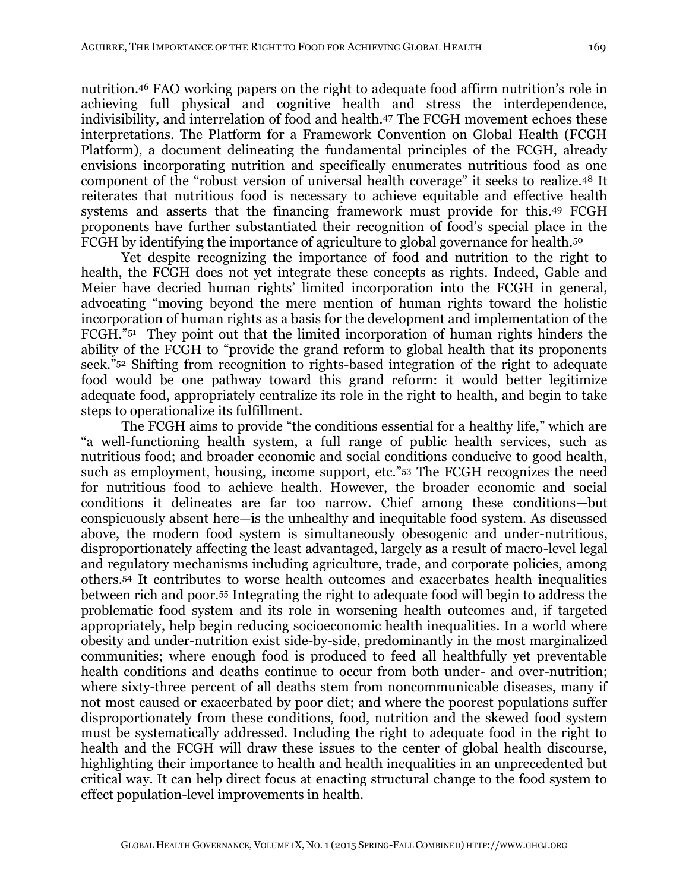nutrition.<sup>46</sup> FAO working papers on the right to adequate food affirm nutrition's role in achieving full physical and cognitive health and stress the interdependence, indivisibility, and interrelation of food and health.<sup>47</sup> The FCGH movement echoes these interpretations. The Platform for a Framework Convention on Global Health (FCGH Platform), a document delineating the fundamental principles of the FCGH, already envisions incorporating nutrition and specifically enumerates nutritious food as one component of the "robust version of universal health coverage" it seeks to realize.<sup>48</sup> It reiterates that nutritious food is necessary to achieve equitable and effective health systems and asserts that the financing framework must provide for this.<sup>49</sup> FCGH proponents have further substantiated their recognition of food's special place in the FCGH by identifying the importance of agriculture to global governance for health.<sup>50</sup>

Yet despite recognizing the importance of food and nutrition to the right to health, the FCGH does not yet integrate these concepts as rights. Indeed, Gable and Meier have decried human rights' limited incorporation into the FCGH in general, advocating "moving beyond the mere mention of human rights toward the holistic incorporation of human rights as a basis for the development and implementation of the FCGH."<sup>51</sup> They point out that the limited incorporation of human rights hinders the ability of the FCGH to "provide the grand reform to global health that its proponents seek."<sup>52</sup> Shifting from recognition to rights-based integration of the right to adequate food would be one pathway toward this grand reform: it would better legitimize adequate food, appropriately centralize its role in the right to health, and begin to take steps to operationalize its fulfillment.

The FCGH aims to provide "the conditions essential for a healthy life," which are "a well-functioning health system, a full range of public health services, such as nutritious food; and broader economic and social conditions conducive to good health, such as employment, housing, income support, etc."<sup>53</sup> The FCGH recognizes the need for nutritious food to achieve health. However, the broader economic and social conditions it delineates are far too narrow. Chief among these conditions—but conspicuously absent here—is the unhealthy and inequitable food system. As discussed above, the modern food system is simultaneously obesogenic and under-nutritious, disproportionately affecting the least advantaged, largely as a result of macro-level legal and regulatory mechanisms including agriculture, trade, and corporate policies, among others.<sup>54</sup> It contributes to worse health outcomes and exacerbates health inequalities between rich and poor.<sup>55</sup> Integrating the right to adequate food will begin to address the problematic food system and its role in worsening health outcomes and, if targeted appropriately, help begin reducing socioeconomic health inequalities. In a world where obesity and under-nutrition exist side-by-side, predominantly in the most marginalized communities; where enough food is produced to feed all healthfully yet preventable health conditions and deaths continue to occur from both under- and over-nutrition; where sixty-three percent of all deaths stem from noncommunicable diseases, many if not most caused or exacerbated by poor diet; and where the poorest populations suffer disproportionately from these conditions, food, nutrition and the skewed food system must be systematically addressed. Including the right to adequate food in the right to health and the FCGH will draw these issues to the center of global health discourse, highlighting their importance to health and health inequalities in an unprecedented but critical way. It can help direct focus at enacting structural change to the food system to effect population-level improvements in health.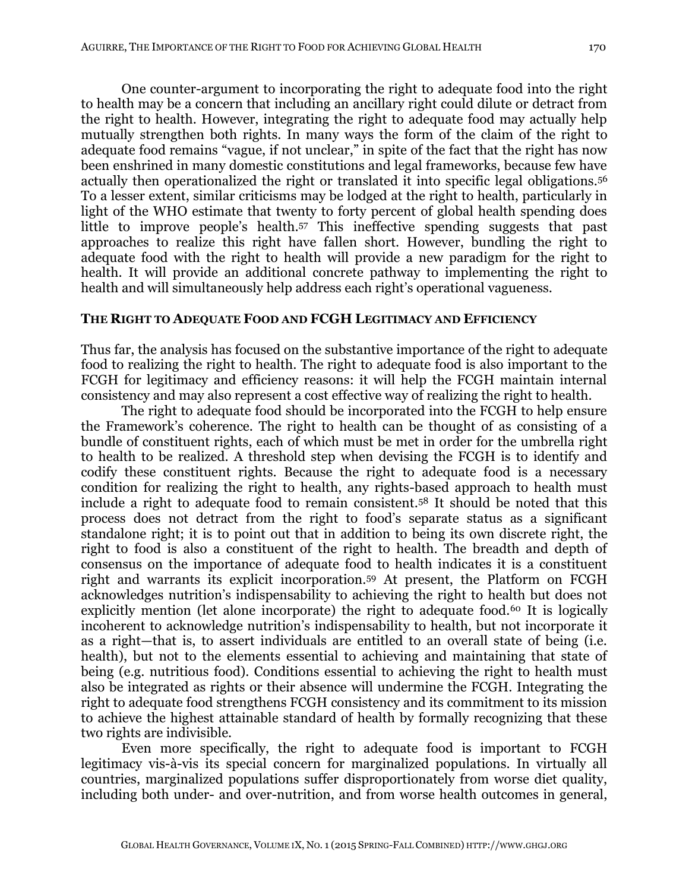One counter-argument to incorporating the right to adequate food into the right to health may be a concern that including an ancillary right could dilute or detract from the right to health. However, integrating the right to adequate food may actually help mutually strengthen both rights. In many ways the form of the claim of the right to adequate food remains "vague, if not unclear," in spite of the fact that the right has now been enshrined in many domestic constitutions and legal frameworks, because few have actually then operationalized the right or translated it into specific legal obligations.<sup>56</sup> To a lesser extent, similar criticisms may be lodged at the right to health, particularly in light of the WHO estimate that twenty to forty percent of global health spending does little to improve people's health.<sup>57</sup> This ineffective spending suggests that past approaches to realize this right have fallen short. However, bundling the right to adequate food with the right to health will provide a new paradigm for the right to health. It will provide an additional concrete pathway to implementing the right to health and will simultaneously help address each right's operational vagueness.

#### **THE RIGHT TO ADEQUATE FOOD AND FCGH LEGITIMACY AND EFFICIENCY**

Thus far, the analysis has focused on the substantive importance of the right to adequate food to realizing the right to health. The right to adequate food is also important to the FCGH for legitimacy and efficiency reasons: it will help the FCGH maintain internal consistency and may also represent a cost effective way of realizing the right to health.

The right to adequate food should be incorporated into the FCGH to help ensure the Framework's coherence. The right to health can be thought of as consisting of a bundle of constituent rights, each of which must be met in order for the umbrella right to health to be realized. A threshold step when devising the FCGH is to identify and codify these constituent rights. Because the right to adequate food is a necessary condition for realizing the right to health, any rights-based approach to health must include a right to adequate food to remain consistent.<sup>58</sup> It should be noted that this process does not detract from the right to food's separate status as a significant standalone right; it is to point out that in addition to being its own discrete right, the right to food is also a constituent of the right to health. The breadth and depth of consensus on the importance of adequate food to health indicates it is a constituent right and warrants its explicit incorporation.<sup>59</sup> At present, the Platform on FCGH acknowledges nutrition's indispensability to achieving the right to health but does not explicitly mention (let alone incorporate) the right to adequate food.<sup>60</sup> It is logically incoherent to acknowledge nutrition's indispensability to health, but not incorporate it as a right—that is, to assert individuals are entitled to an overall state of being (i.e. health), but not to the elements essential to achieving and maintaining that state of being (e.g. nutritious food). Conditions essential to achieving the right to health must also be integrated as rights or their absence will undermine the FCGH. Integrating the right to adequate food strengthens FCGH consistency and its commitment to its mission to achieve the highest attainable standard of health by formally recognizing that these two rights are indivisible.

Even more specifically, the right to adequate food is important to FCGH legitimacy vis-à-vis its special concern for marginalized populations. In virtually all countries, marginalized populations suffer disproportionately from worse diet quality, including both under- and over-nutrition, and from worse health outcomes in general,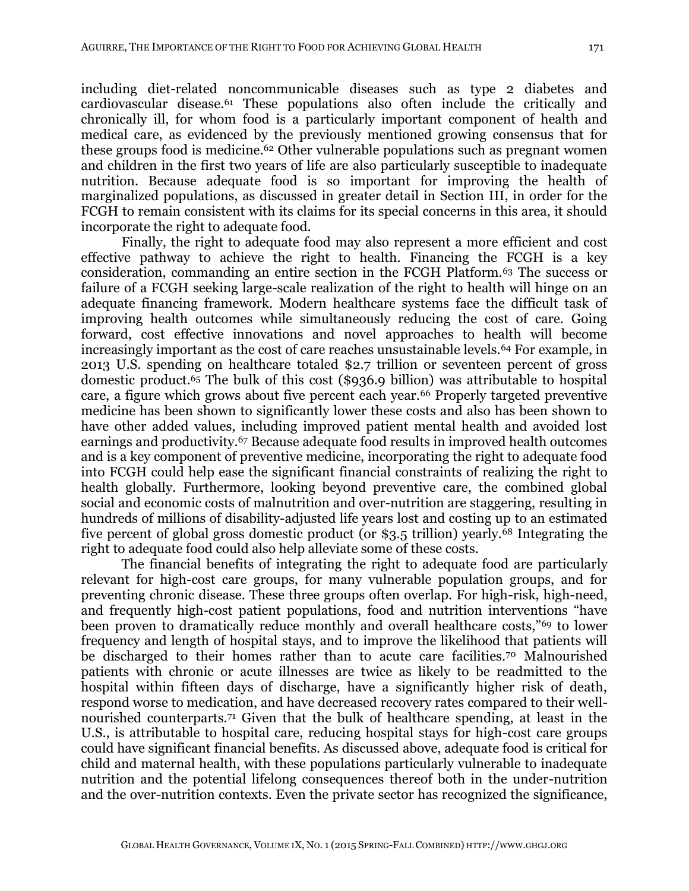including diet-related noncommunicable diseases such as type 2 diabetes and cardiovascular disease.61 These populations also often include the critically and chronically ill, for whom food is a particularly important component of health and medical care, as evidenced by the previously mentioned growing consensus that for these groups food is medicine.<sup>62</sup> Other vulnerable populations such as pregnant women and children in the first two years of life are also particularly susceptible to inadequate nutrition. Because adequate food is so important for improving the health of marginalized populations, as discussed in greater detail in Section III, in order for the FCGH to remain consistent with its claims for its special concerns in this area, it should incorporate the right to adequate food.

Finally, the right to adequate food may also represent a more efficient and cost effective pathway to achieve the right to health. Financing the FCGH is a key consideration, commanding an entire section in the FCGH Platform.63 The success or failure of a FCGH seeking large-scale realization of the right to health will hinge on an adequate financing framework. Modern healthcare systems face the difficult task of improving health outcomes while simultaneously reducing the cost of care. Going forward, cost effective innovations and novel approaches to health will become increasingly important as the cost of care reaches unsustainable levels.<sup>64</sup> For example, in 2013 U.S. spending on healthcare totaled \$2.7 trillion or seventeen percent of gross domestic product.65 The bulk of this cost (\$936.9 billion) was attributable to hospital care, a figure which grows about five percent each year.<sup>66</sup> Properly targeted preventive medicine has been shown to significantly lower these costs and also has been shown to have other added values, including improved patient mental health and avoided lost earnings and productivity.67 Because adequate food results in improved health outcomes and is a key component of preventive medicine, incorporating the right to adequate food into FCGH could help ease the significant financial constraints of realizing the right to health globally. Furthermore, looking beyond preventive care, the combined global social and economic costs of malnutrition and over-nutrition are staggering, resulting in hundreds of millions of disability-adjusted life years lost and costing up to an estimated five percent of global gross domestic product (or \$3.5 trillion) yearly.68 Integrating the right to adequate food could also help alleviate some of these costs.

The financial benefits of integrating the right to adequate food are particularly relevant for high-cost care groups, for many vulnerable population groups, and for preventing chronic disease. These three groups often overlap. For high-risk, high-need, and frequently high-cost patient populations, food and nutrition interventions "have been proven to dramatically reduce monthly and overall healthcare costs,"69 to lower frequency and length of hospital stays, and to improve the likelihood that patients will be discharged to their homes rather than to acute care facilities.70 Malnourished patients with chronic or acute illnesses are twice as likely to be readmitted to the hospital within fifteen days of discharge, have a significantly higher risk of death, respond worse to medication, and have decreased recovery rates compared to their wellnourished counterparts.71 Given that the bulk of healthcare spending, at least in the U.S., is attributable to hospital care, reducing hospital stays for high-cost care groups could have significant financial benefits. As discussed above, adequate food is critical for child and maternal health, with these populations particularly vulnerable to inadequate nutrition and the potential lifelong consequences thereof both in the under-nutrition and the over-nutrition contexts. Even the private sector has recognized the significance,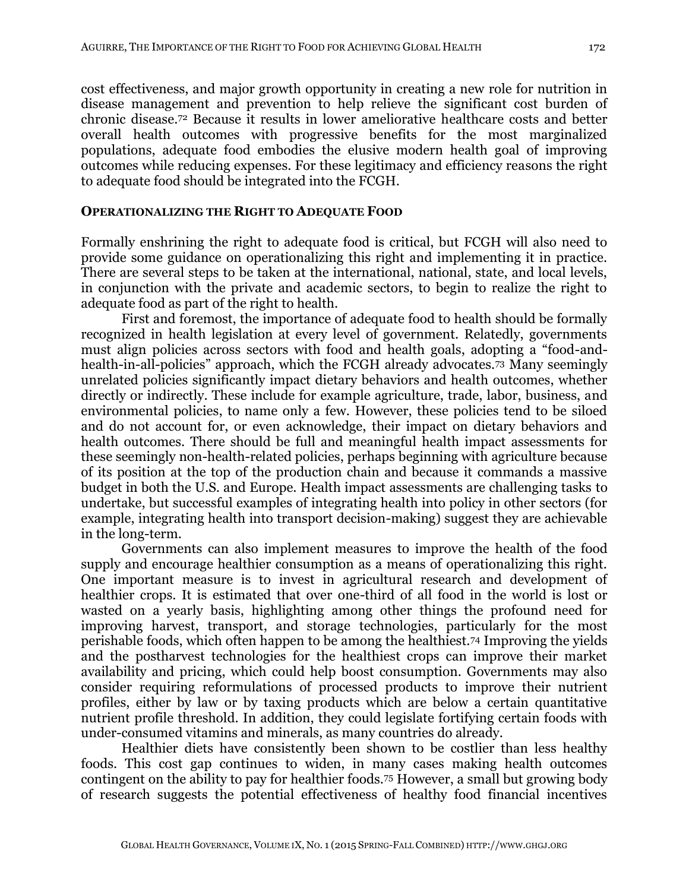cost effectiveness, and major growth opportunity in creating a new role for nutrition in disease management and prevention to help relieve the significant cost burden of chronic disease.<sup>72</sup> Because it results in lower ameliorative healthcare costs and better overall health outcomes with progressive benefits for the most marginalized populations, adequate food embodies the elusive modern health goal of improving outcomes while reducing expenses. For these legitimacy and efficiency reasons the right to adequate food should be integrated into the FCGH.

#### **OPERATIONALIZING THE RIGHT TO ADEQUATE FOOD**

Formally enshrining the right to adequate food is critical, but FCGH will also need to provide some guidance on operationalizing this right and implementing it in practice. There are several steps to be taken at the international, national, state, and local levels, in conjunction with the private and academic sectors, to begin to realize the right to adequate food as part of the right to health.

First and foremost, the importance of adequate food to health should be formally recognized in health legislation at every level of government. Relatedly, governments must align policies across sectors with food and health goals, adopting a "food-andhealth-in-all-policies" approach, which the FCGH already advocates.<sup>73</sup> Many seemingly unrelated policies significantly impact dietary behaviors and health outcomes, whether directly or indirectly. These include for example agriculture, trade, labor, business, and environmental policies, to name only a few. However, these policies tend to be siloed and do not account for, or even acknowledge, their impact on dietary behaviors and health outcomes. There should be full and meaningful health impact assessments for these seemingly non-health-related policies, perhaps beginning with agriculture because of its position at the top of the production chain and because it commands a massive budget in both the U.S. and Europe. Health impact assessments are challenging tasks to undertake, but successful examples of integrating health into policy in other sectors (for example, integrating health into transport decision-making) suggest they are achievable in the long-term.

Governments can also implement measures to improve the health of the food supply and encourage healthier consumption as a means of operationalizing this right. One important measure is to invest in agricultural research and development of healthier crops. It is estimated that over one-third of all food in the world is lost or wasted on a yearly basis, highlighting among other things the profound need for improving harvest, transport, and storage technologies, particularly for the most perishable foods, which often happen to be among the healthiest.<sup>74</sup> Improving the yields and the postharvest technologies for the healthiest crops can improve their market availability and pricing, which could help boost consumption. Governments may also consider requiring reformulations of processed products to improve their nutrient profiles, either by law or by taxing products which are below a certain quantitative nutrient profile threshold. In addition, they could legislate fortifying certain foods with under-consumed vitamins and minerals, as many countries do already.

Healthier diets have consistently been shown to be costlier than less healthy foods. This cost gap continues to widen, in many cases making health outcomes contingent on the ability to pay for healthier foods.<sup>75</sup> However, a small but growing body of research suggests the potential effectiveness of healthy food financial incentives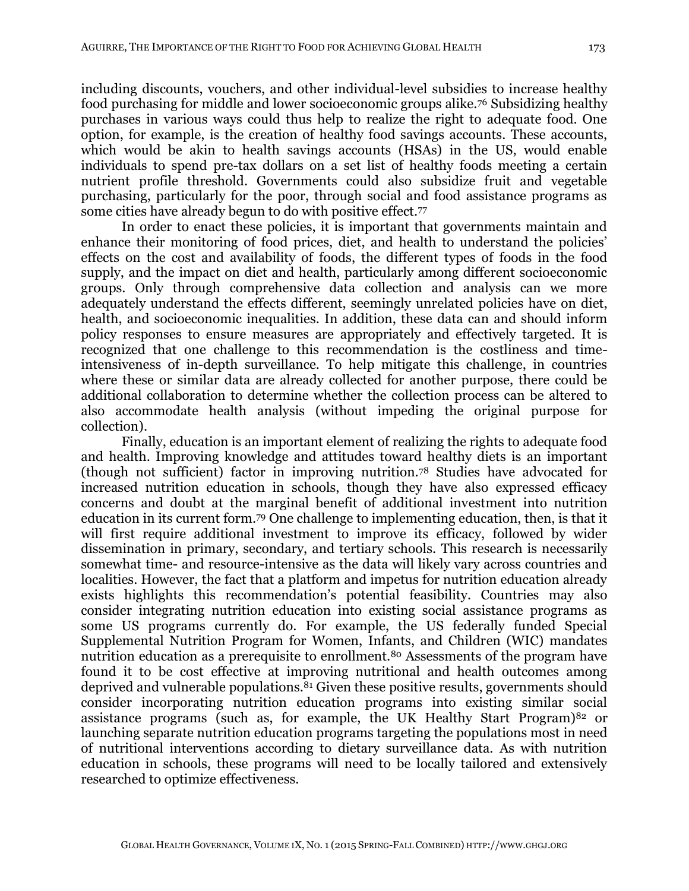including discounts, vouchers, and other individual-level subsidies to increase healthy food purchasing for middle and lower socioeconomic groups alike.<sup>76</sup> Subsidizing healthy purchases in various ways could thus help to realize the right to adequate food. One option, for example, is the creation of healthy food savings accounts. These accounts, which would be akin to health savings accounts (HSAs) in the US, would enable individuals to spend pre-tax dollars on a set list of healthy foods meeting a certain nutrient profile threshold. Governments could also subsidize fruit and vegetable purchasing, particularly for the poor, through social and food assistance programs as some cities have already begun to do with positive effect.<sup>77</sup>

In order to enact these policies, it is important that governments maintain and enhance their monitoring of food prices, diet, and health to understand the policies' effects on the cost and availability of foods, the different types of foods in the food supply, and the impact on diet and health, particularly among different socioeconomic groups. Only through comprehensive data collection and analysis can we more adequately understand the effects different, seemingly unrelated policies have on diet, health, and socioeconomic inequalities. In addition, these data can and should inform policy responses to ensure measures are appropriately and effectively targeted. It is recognized that one challenge to this recommendation is the costliness and timeintensiveness of in-depth surveillance. To help mitigate this challenge, in countries where these or similar data are already collected for another purpose, there could be additional collaboration to determine whether the collection process can be altered to also accommodate health analysis (without impeding the original purpose for collection).

Finally, education is an important element of realizing the rights to adequate food and health. Improving knowledge and attitudes toward healthy diets is an important (though not sufficient) factor in improving nutrition.<sup>78</sup> Studies have advocated for increased nutrition education in schools, though they have also expressed efficacy concerns and doubt at the marginal benefit of additional investment into nutrition education in its current form.<sup>79</sup> One challenge to implementing education, then, is that it will first require additional investment to improve its efficacy, followed by wider dissemination in primary, secondary, and tertiary schools. This research is necessarily somewhat time- and resource-intensive as the data will likely vary across countries and localities. However, the fact that a platform and impetus for nutrition education already exists highlights this recommendation's potential feasibility. Countries may also consider integrating nutrition education into existing social assistance programs as some US programs currently do. For example, the US federally funded Special Supplemental Nutrition Program for Women, Infants, and Children (WIC) mandates nutrition education as a prerequisite to enrollment.<sup>80</sup> Assessments of the program have found it to be cost effective at improving nutritional and health outcomes among deprived and vulnerable populations.<sup>81</sup> Given these positive results, governments should consider incorporating nutrition education programs into existing similar social assistance programs (such as, for example, the UK Healthy Start Program) $82$  or launching separate nutrition education programs targeting the populations most in need of nutritional interventions according to dietary surveillance data. As with nutrition education in schools, these programs will need to be locally tailored and extensively researched to optimize effectiveness.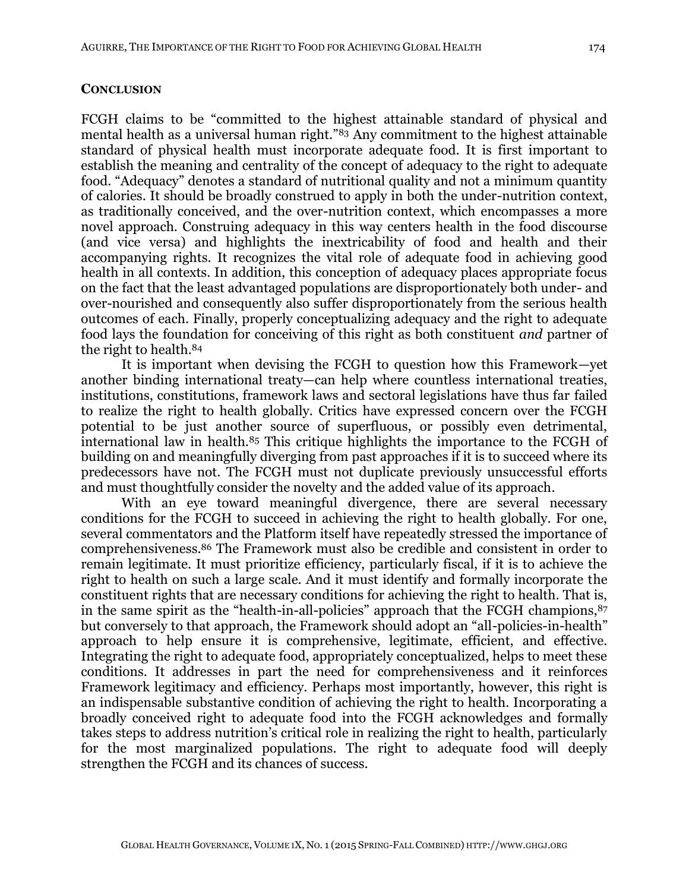## **CONCLUSION**

FCGH claims to be "committed to the highest attainable standard of physical and mental health as a universal human right."<sup>83</sup> Any commitment to the highest attainable standard of physical health must incorporate adequate food. It is first important to establish the meaning and centrality of the concept of adequacy to the right to adequate food. "Adequacy" denotes a standard of nutritional quality and not a minimum quantity of calories. It should be broadly construed to apply in both the under-nutrition context, as traditionally conceived, and the over-nutrition context, which encompasses a more novel approach. Construing adequacy in this way centers health in the food discourse (and vice versa) and highlights the inextricability of food and health and their accompanying rights. It recognizes the vital role of adequate food in achieving good health in all contexts. In addition, this conception of adequacy places appropriate focus on the fact that the least advantaged populations are disproportionately both under- and over-nourished and consequently also suffer disproportionately from the serious health outcomes of each. Finally, properly conceptualizing adequacy and the right to adequate food lays the foundation for conceiving of this right as both constituent *and* partner of the right to health.<sup>84</sup>

It is important when devising the FCGH to question how this Framework—yet another binding international treaty—can help where countless international treaties, institutions, constitutions, framework laws and sectoral legislations have thus far failed to realize the right to health globally. Critics have expressed concern over the FCGH potential to be just another source of superfluous, or possibly even detrimental, international law in health.<sup>85</sup> This critique highlights the importance to the FCGH of building on and meaningfully diverging from past approaches if it is to succeed where its predecessors have not. The FCGH must not duplicate previously unsuccessful efforts and must thoughtfully consider the novelty and the added value of its approach.

With an eye toward meaningful divergence, there are several necessary conditions for the FCGH to succeed in achieving the right to health globally. For one, several commentators and the Platform itself have repeatedly stressed the importance of comprehensiveness.<sup>86</sup> The Framework must also be credible and consistent in order to remain legitimate. It must prioritize efficiency, particularly fiscal, if it is to achieve the right to health on such a large scale. And it must identify and formally incorporate the constituent rights that are necessary conditions for achieving the right to health. That is, in the same spirit as the "health-in-all-policies" approach that the FCGH champions, 87 but conversely to that approach, the Framework should adopt an "all-policies-in-health" approach to help ensure it is comprehensive, legitimate, efficient, and effective. Integrating the right to adequate food, appropriately conceptualized, helps to meet these conditions. It addresses in part the need for comprehensiveness and it reinforces Framework legitimacy and efficiency. Perhaps most importantly, however, this right is an indispensable substantive condition of achieving the right to health. Incorporating a broadly conceived right to adequate food into the FCGH acknowledges and formally takes steps to address nutrition's critical role in realizing the right to health, particularly for the most marginalized populations. The right to adequate food will deeply strengthen the FCGH and its chances of success.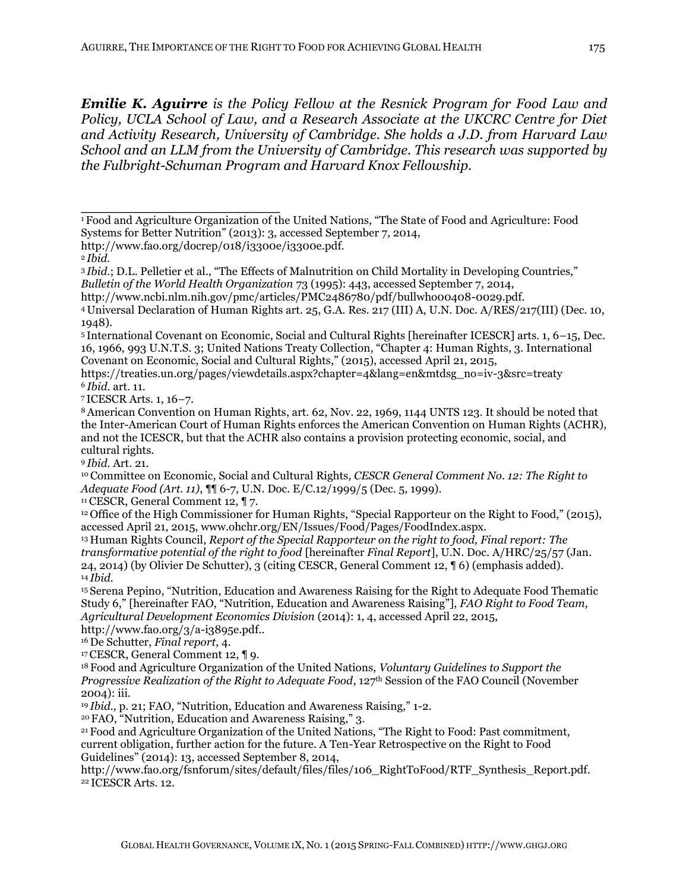*Emilie K. Aguirre is the Policy Fellow at the Resnick Program for Food Law and Policy, UCLA School of Law, and a Research Associate at the UKCRC Centre for Diet and Activity Research, University of Cambridge. She holds a J.D. from Harvard Law School and an LLM from the University of Cambridge. This research was supported by the Fulbright-Schuman Program and Harvard Knox Fellowship.*

**\_\_\_\_\_\_\_\_\_\_\_\_\_\_\_\_\_\_\_\_\_**

<sup>7</sup>ICESCR Arts. 1, 16–7.

<sup>8</sup>American Convention on Human Rights, art. 62, Nov. 22, 1969, 1144 UNTS 123. It should be noted that the Inter-American Court of Human Rights enforces the American Convention on Human Rights (ACHR), and not the ICESCR, but that the ACHR also contains a provision protecting economic, social, and cultural rights.

<sup>9</sup>*Ibid.* Art. 21.

<sup>10</sup>Committee on Economic, Social and Cultural Rights, *CESCR General Comment No. 12: The Right to Adequate Food (Art. 11)*, ¶¶ 6-7, U.N. Doc. E/C.12/1999/5 (Dec. 5, 1999).

<sup>11</sup>CESCR, General Comment 12, ¶ 7.

<sup>12</sup>Office of the High Commissioner for Human Rights, "Special Rapporteur on the Right to Food," (2015), accessed April 21, 2015, www.ohchr.org/EN/Issues/Food/Pages/FoodIndex.aspx.

<sup>16</sup>De Schutter, *Final report*, 4.

<sup>17</sup>CESCR, General Comment 12, ¶ 9.

<sup>18</sup>Food and Agriculture Organization of the United Nations, *Voluntary Guidelines to Support the Progressive Realization of the Right to Adequate Food*, 127th Session of the FAO Council (November 2004): iii.

<sup>19</sup>*Ibid.*, p. 21; FAO, "Nutrition, Education and Awareness Raising," 1-2.

<sup>20</sup>FAO, "Nutrition, Education and Awareness Raising," 3.

<sup>21</sup>Food and Agriculture Organization of the United Nations, "The Right to Food: Past commitment, current obligation, further action for the future. A Ten-Year Retrospective on the Right to Food Guidelines" (2014): 13, accessed September 8, 2014,

http://www.fao.org/fsnforum/sites/default/files/files/106 RightToFood/RTF Synthesis Report.pdf. 22 ICESCR Arts. 12.

<sup>1</sup>Food and Agriculture Organization of the United Nations, "The State of Food and Agriculture: Food Systems for Better Nutrition" (2013): 3, accessed September 7, 2014,

http://www.fao.org/docrep/018/i3300e/i3300e.pdf.

<sup>2</sup>*Ibid.*

<sup>3</sup>*Ibid.*; D.L. Pelletier et al., "The Effects of Malnutrition on Child Mortality in Developing Countries," *Bulletin of the World Health Organization* 73 (1995): 443, accessed September 7, 2014,

http://www.ncbi.nlm.nih.gov/pmc/articles/PMC2486780/pdf/bullwho00408-0029.pdf.

<sup>4</sup>Universal Declaration of Human Rights art. 25, G.A. Res. 217 (III) A, U.N. Doc. A/RES/217(III) (Dec. 10, 1948).

<sup>5</sup>International Covenant on Economic, Social and Cultural Rights [hereinafter ICESCR] arts. 1, 6–15, Dec. 16, 1966, 993 U.N.T.S. 3; United Nations Treaty Collection, "Chapter 4: Human Rights, 3. International Covenant on Economic, Social and Cultural Rights," (2015), accessed April 21, 2015,

https://treaties.un.org/pages/viewdetails.aspx?chapter=4&lang=en&mtdsg\_no=iv-3&src=treaty <sup>6</sup>*Ibid.* art. 11.

<sup>13</sup>Human Rights Council, *Report of the Special Rapporteur on the right to food, Final report: The transformative potential of the right to food* [hereinafter *Final Report*], U.N. Doc. A/HRC/25/57 (Jan. 24, 2014) (by Olivier De Schutter), 3 (citing CESCR, General Comment 12, ¶ 6) (emphasis added). <sup>14</sup>*Ibid.*

<sup>15</sup>Serena Pepino, "Nutrition, Education and Awareness Raising for the Right to Adequate Food Thematic Study 6," [hereinafter FAO, "Nutrition, Education and Awareness Raising"], *FAO Right to Food Team, Agricultural Development Economics Division* (2014): 1, 4, accessed April 22, 2015, http://www.fao.org/3/a-i3895e.pdf..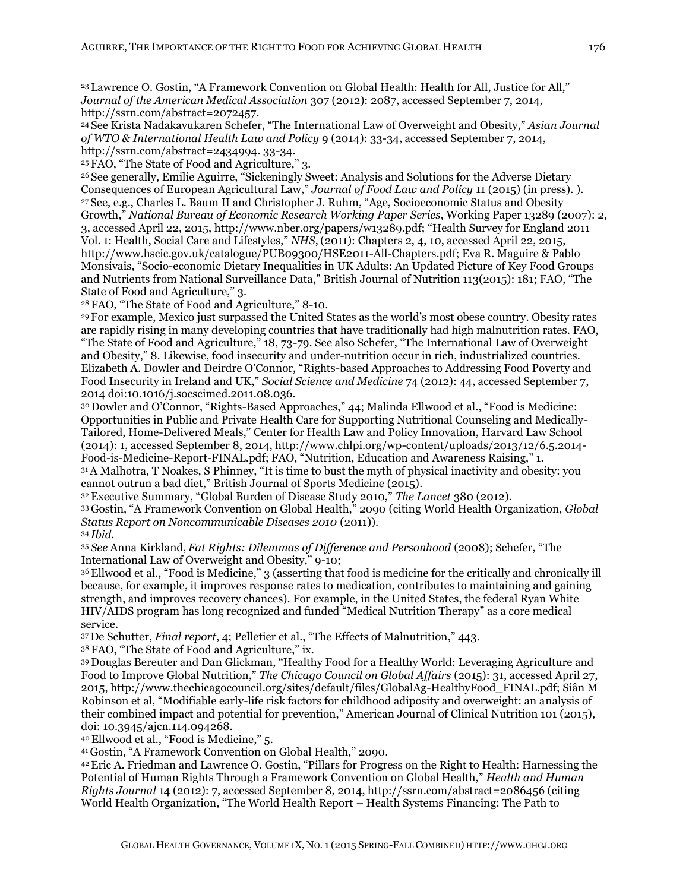<sup>23</sup>Lawrence O. Gostin, "A Framework Convention on Global Health: Health for All, Justice for All," *Journal of the American Medical Association* 307 (2012): 2087, accessed September 7, 2014, http://ssrn.com/abstract=2072457.

<sup>24</sup>See Krista Nadakavukaren Schefer, "The International Law of Overweight and Obesity," *Asian Journal of WTO & International Health Law and Policy* 9 (2014): 33-34, accessed September 7, 2014, http://ssrn.com/abstract=2434994. 33-34.

<sup>25</sup>FAO, "The State of Food and Agriculture," 3.

<sup>26</sup>See generally, Emilie Aguirre, "Sickeningly Sweet: Analysis and Solutions for the Adverse Dietary Consequences of European Agricultural Law," *Journal of Food Law and Policy* 11 (2015) (in press). ). <sup>27</sup>See, e.g., Charles L. Baum II and Christopher J. Ruhm, "Age, Socioeconomic Status and Obesity Growth," *National Bureau of Economic Research Working Paper Series*, Working Paper 13289 (2007): 2, 3, accessed April 22, 2015, http://www.nber.org/papers/w13289.pdf; "Health Survey for England 2011 Vol. 1: Health, Social Care and Lifestyles," *NHS*, (2011): Chapters 2, 4, 10, accessed April 22, 2015, http://www.hscic.gov.uk/catalogue/PUB09300/HSE2011-All-Chapters.pdf; Eva R. Maguire & Pablo Monsivais, "Socio-economic Dietary Inequalities in UK Adults: An Updated Picture of Key Food Groups and Nutrients from National Surveillance Data," British Journal of Nutrition 113(2015): 181; FAO, "The State of Food and Agriculture," 3.

<sup>28</sup>FAO, "The State of Food and Agriculture," 8-10.

<sup>29</sup>For example, Mexico just surpassed the United States as the world's most obese country. Obesity rates are rapidly rising in many developing countries that have traditionally had high malnutrition rates. FAO, "The State of Food and Agriculture," 18, 73-79. See also Schefer, "The International Law of Overweight and Obesity," 8. Likewise, food insecurity and under-nutrition occur in rich, industrialized countries. Elizabeth A. Dowler and Deirdre O'Connor, "Rights-based Approaches to Addressing Food Poverty and Food Insecurity in Ireland and UK," *Social Science and Medicine* 74 (2012): 44, accessed September 7, 2014 doi:10.1016/j.socscimed.2011.08.036.

<sup>30</sup>Dowler and O'Connor, "Rights-Based Approaches," 44; Malinda Ellwood et al., "Food is Medicine: Opportunities in Public and Private Health Care for Supporting Nutritional Counseling and Medically-Tailored, Home-Delivered Meals," Center for Health Law and Policy Innovation, Harvard Law School (2014): 1, accessed September 8, 2014, http://www.chlpi.org/wp-content/uploads/2013/12/6.5.2014- Food-is-Medicine-Report-FINAL.pdf; FAO, "Nutrition, Education and Awareness Raising," 1.

<sup>31</sup>A Malhotra, T Noakes, S Phinney, "It is time to bust the myth of physical inactivity and obesity: you cannot outrun a bad diet," British Journal of Sports Medicine (2015).

<sup>32</sup>Executive Summary, "Global Burden of Disease Study 2010," *The Lancet* 380 (2012).

<sup>33</sup>Gostin, "A Framework Convention on Global Health," 2090 (citing World Health Organization, *Global Status Report on Noncommunicable Diseases 2010* (2011)).

<sup>34</sup>*Ibid.* 

<sup>35</sup>*See* Anna Kirkland, *Fat Rights: Dilemmas of Difference and Personhood* (2008); Schefer, "The International Law of Overweight and Obesity," 9-10;

<sup>36</sup>Ellwood et al., "Food is Medicine," 3 (asserting that food is medicine for the critically and chronically ill because, for example, it improves response rates to medication, contributes to maintaining and gaining strength, and improves recovery chances). For example, in the United States, the federal Ryan White HIV/AIDS program has long recognized and funded "Medical Nutrition Therapy" as a core medical service.

<sup>37</sup>De Schutter, *Final report*, 4; Pelletier et al., "The Effects of Malnutrition," 443.

<sup>38</sup>FAO, "The State of Food and Agriculture," ix.

<sup>39</sup>Douglas Bereuter and Dan Glickman, "Healthy Food for a Healthy World: Leveraging Agriculture and Food to Improve Global Nutrition," *The Chicago Council on Global Affairs* (2015): 31, accessed April 27, 2015, http://www.thechicagocouncil.org/sites/default/files/GlobalAg-HealthyFood\_FINAL.pdf; Siân M Robinson et al, "Modifiable early-life risk factors for childhood adiposity and overweight: an analysis of their combined impact and potential for prevention," American Journal of Clinical Nutrition 101 (2015), doi: 10.3945/ajcn.114.094268.

<sup>40</sup>Ellwood et al., "Food is Medicine," 5.

<sup>41</sup>Gostin, "A Framework Convention on Global Health," 2090.

<sup>42</sup>Eric A. Friedman and Lawrence O. Gostin, "Pillars for Progress on the Right to Health: Harnessing the Potential of Human Rights Through a Framework Convention on Global Health," *Health and Human Rights Journal* 14 (2012): 7, accessed September 8, 2014, http://ssrn.com/abstract=2086456 (citing World Health Organization, "The World Health Report – Health Systems Financing: The Path to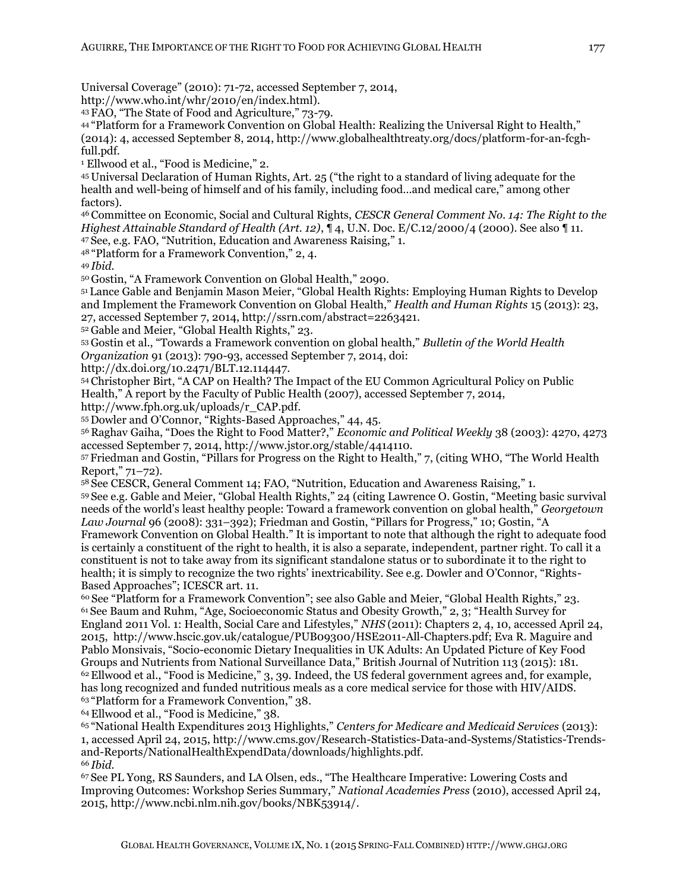Universal Coverage" (2010): 71-72, accessed September 7, 2014,

http://www.who.int/whr/2010/en/index.html).

<sup>43</sup>FAO, "The State of Food and Agriculture," 73-79.

<sup>44</sup>"Platform for a Framework Convention on Global Health: Realizing the Universal Right to Health," (2014): 4, accessed September 8, 2014, http://www.globalhealthtreaty.org/docs/platform-for-an-fcghfull.pdf.

<sup>1</sup> Ellwood et al., "Food is Medicine," 2.

<sup>45</sup>Universal Declaration of Human Rights, Art. 25 ("the right to a standard of living adequate for the health and well-being of himself and of his family, including food…and medical care," among other factors).

<sup>46</sup>Committee on Economic, Social and Cultural Rights, *CESCR General Comment No. 14: The Right to the Highest Attainable Standard of Health (Art. 12)*, ¶ 4, U.N. Doc. E/C.12/2000/4 (2000). See also ¶ 11. <sup>47</sup>See, e.g. FAO, "Nutrition, Education and Awareness Raising," 1.

<sup>48</sup>"Platform for a Framework Convention," 2, 4.

<sup>49</sup>*Ibid.* 

<sup>50</sup>Gostin, "A Framework Convention on Global Health," 2090.

<sup>51</sup>Lance Gable and Benjamin Mason Meier, "Global Health Rights: Employing Human Rights to Develop and Implement the Framework Convention on Global Health," *Health and Human Rights* 15 (2013): 23, 27, accessed September 7, 2014, http://ssrn.com/abstract=2263421.

<sup>52</sup>Gable and Meier, "Global Health Rights," 23.

<sup>53</sup>Gostin et al., "Towards a Framework convention on global health," *Bulletin of the World Health Organization* 91 (2013): 790-93, accessed September 7, 2014, doi:

http://dx.doi.org/10.2471/BLT.12.114447.

<sup>54</sup>Christopher Birt, "A CAP on Health? The Impact of the EU Common Agricultural Policy on Public Health," A report by the Faculty of Public Health (2007), accessed September 7, 2014,

http://www.fph.org.uk/uploads/r\_CAP.pdf.

<sup>55</sup>Dowler and O'Connor, "Rights-Based Approaches," 44, 45.

<sup>56</sup>Raghav Gaiha, "Does the Right to Food Matter?," *Economic and Political Weekly* 38 (2003): 4270, 4273 accessed September 7, 2014, http://www.jstor.org/stable/4414110.

<sup>57</sup>Friedman and Gostin, "Pillars for Progress on the Right to Health," 7, (citing WHO, "The World Health Report," 71–72).

<sup>58</sup>See CESCR, General Comment 14; FAO, "Nutrition, Education and Awareness Raising," 1. <sup>59</sup>See e.g. Gable and Meier, "Global Health Rights," 24 (citing Lawrence O. Gostin, "Meeting basic survival needs of the world's least healthy people: Toward a framework convention on global health," *Georgetown Law Journal* 96 (2008): 331–392); Friedman and Gostin, "Pillars for Progress," 10; Gostin, "A

Framework Convention on Global Health." It is important to note that although the right to adequate food is certainly a constituent of the right to health, it is also a separate, independent, partner right. To call it a constituent is not to take away from its significant standalone status or to subordinate it to the right to health; it is simply to recognize the two rights' inextricability. See e.g. Dowler and O'Connor, "Rights-Based Approaches"; ICESCR art. 11.

<sup>60</sup> See "Platform for a Framework Convention"; see also Gable and Meier, "Global Health Rights," 23. <sup>61</sup>See Baum and Ruhm, "Age, Socioeconomic Status and Obesity Growth," 2, 3; "Health Survey for England 2011 Vol. 1: Health, Social Care and Lifestyles," *NHS* (2011): Chapters 2, 4, 10, accessed April 24, 2015, http://www.hscic.gov.uk/catalogue/PUB09300/HSE2011-All-Chapters.pdf; Eva R. Maguire and Pablo Monsivais, "Socio-economic Dietary Inequalities in UK Adults: An Updated Picture of Key Food Groups and Nutrients from National Surveillance Data," British Journal of Nutrition 113 (2015): 181.  $62$  Ellwood et al., "Food is Medicine," 3, 39. Indeed, the US federal government agrees and, for example, has long recognized and funded nutritious meals as a core medical service for those with HIV/AIDS. <sup>63</sup>"Platform for a Framework Convention," 38.

<sup>64</sup>Ellwood et al., "Food is Medicine," 38.

<sup>65</sup>"National Health Expenditures 2013 Highlights," *Centers for Medicare and Medicaid Services* (2013): 1, accessed April 24, 2015, http://www.cms.gov/Research-Statistics-Data-and-Systems/Statistics-Trendsand-Reports/NationalHealthExpendData/downloads/highlights.pdf. <sup>66</sup>*Ibid.*

<sup>67</sup>See PL Yong, RS Saunders, and LA Olsen, eds., "The Healthcare Imperative: Lowering Costs and Improving Outcomes: Workshop Series Summary," *National Academies Press* (2010), accessed April 24, 2015, http://www.ncbi.nlm.nih.gov/books/NBK53914/.